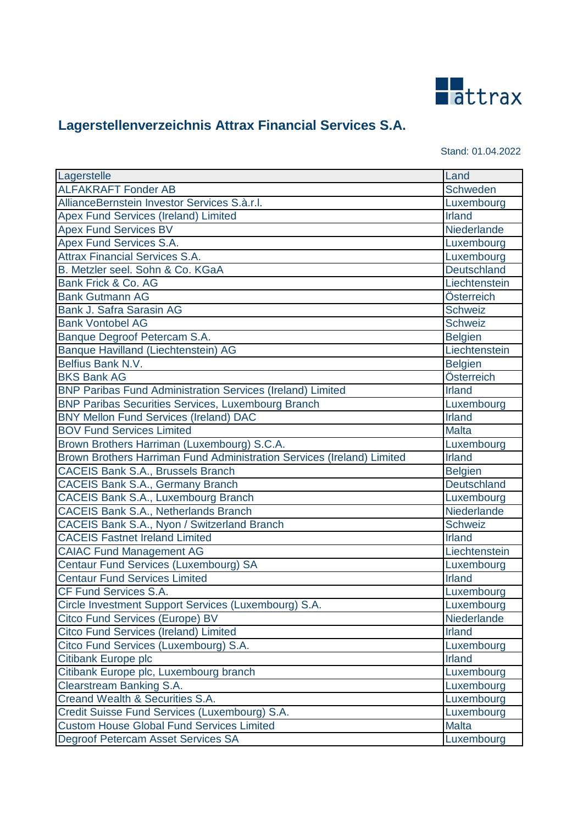

Stand: 01.04.2022

| Lagerstelle                                                            | Land               |
|------------------------------------------------------------------------|--------------------|
| <b>ALFAKRAFT Fonder AB</b>                                             | Schweden           |
| AllianceBernstein Investor Services S.à.r.l.                           | Luxembourg         |
| Apex Fund Services (Ireland) Limited                                   | Irland             |
| <b>Apex Fund Services BV</b>                                           | Niederlande        |
| Apex Fund Services S.A.                                                | Luxembourg         |
| <b>Attrax Financial Services S.A.</b>                                  | Luxembourg         |
| B. Metzler seel. Sohn & Co. KGaA                                       | Deutschland        |
| Bank Frick & Co. AG                                                    | Liechtenstein      |
| <b>Bank Gutmann AG</b>                                                 | Österreich         |
| Bank J. Safra Sarasin AG                                               | <b>Schweiz</b>     |
| <b>Bank Vontobel AG</b>                                                | <b>Schweiz</b>     |
| Banque Degroof Petercam S.A.                                           | <b>Belgien</b>     |
| Banque Havilland (Liechtenstein) AG                                    | Liechtenstein      |
| Belfius Bank N.V.                                                      | <b>Belgien</b>     |
| <b>BKS Bank AG</b>                                                     | Österreich         |
| <b>BNP Paribas Fund Administration Services (Ireland) Limited</b>      | <b>Irland</b>      |
| <b>BNP Paribas Securities Services, Luxembourg Branch</b>              | Luxembourg         |
| <b>BNY Mellon Fund Services (Ireland) DAC</b>                          | Irland             |
| <b>BOV Fund Services Limited</b>                                       | <b>Malta</b>       |
| Brown Brothers Harriman (Luxembourg) S.C.A.                            | Luxembourg         |
| Brown Brothers Harriman Fund Administration Services (Ireland) Limited | <b>Irland</b>      |
| <b>CACEIS Bank S.A., Brussels Branch</b>                               | <b>Belgien</b>     |
| <b>CACEIS Bank S.A., Germany Branch</b>                                | <b>Deutschland</b> |
| <b>CACEIS Bank S.A., Luxembourg Branch</b>                             | Luxembourg         |
| <b>CACEIS Bank S.A., Netherlands Branch</b>                            | Niederlande        |
| CACEIS Bank S.A., Nyon / Switzerland Branch                            | <b>Schweiz</b>     |
| <b>CACEIS Fastnet Ireland Limited</b>                                  | <b>Irland</b>      |
| <b>CAIAC Fund Management AG</b>                                        | Liechtenstein      |
| Centaur Fund Services (Luxembourg) SA                                  | Luxembourg         |
| <b>Centaur Fund Services Limited</b>                                   | <b>Irland</b>      |
| CF Fund Services S.A.                                                  | Luxembourg         |
| Circle Investment Support Services (Luxembourg) S.A.                   | Luxembourg         |
| <b>Citco Fund Services (Europe) BV</b>                                 | Niederlande        |
| <b>Citco Fund Services (Ireland) Limited</b>                           | <b>Irland</b>      |
| Citco Fund Services (Luxembourg) S.A.                                  | Luxembourg         |
| Citibank Europe plc                                                    | <b>Irland</b>      |
| Citibank Europe plc, Luxembourg branch                                 | Luxembourg         |
| Clearstream Banking S.A.                                               | Luxembourg         |
| Creand Wealth & Securities S.A.                                        | Luxembourg         |
| Credit Suisse Fund Services (Luxembourg) S.A.                          | Luxembourg         |
| <b>Custom House Global Fund Services Limited</b>                       | <b>Malta</b>       |
| Degroof Petercam Asset Services SA                                     | Luxembourg         |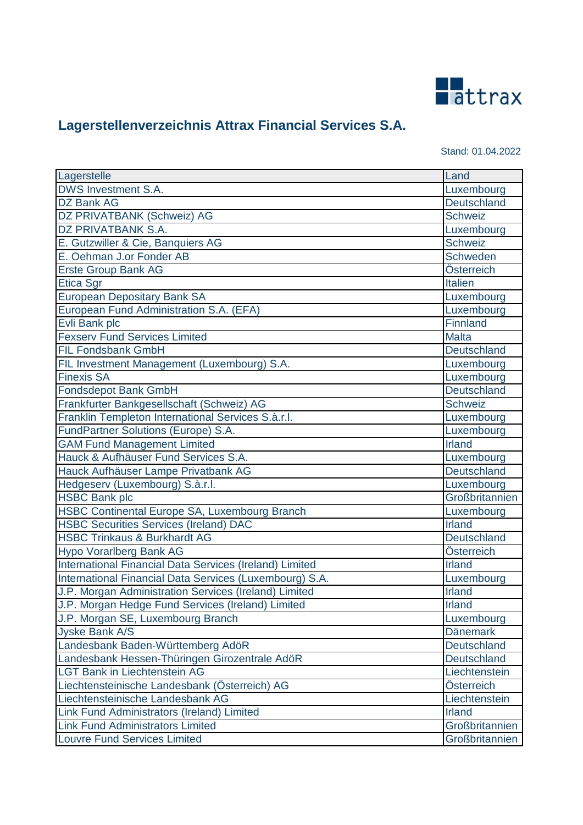

Stand: 01.04.2022

| Lagerstelle                                             | Land               |
|---------------------------------------------------------|--------------------|
| DWS Investment S.A.                                     | Luxembourg         |
| <b>DZ Bank AG</b>                                       | Deutschland        |
| DZ PRIVATBANK (Schweiz) AG                              | <b>Schweiz</b>     |
| DZ PRIVATBANK S.A.                                      | Luxembourg         |
| E. Gutzwiller & Cie, Banquiers AG                       | Schweiz            |
| E. Oehman J.or Fonder AB                                | Schweden           |
| <b>Erste Group Bank AG</b>                              | Österreich         |
| <b>Etica Sgr</b>                                        | <b>Italien</b>     |
| <b>European Depositary Bank SA</b>                      | Luxembourg         |
| European Fund Administration S.A. (EFA)                 | Luxembourg         |
| Evli Bank plc                                           | Finnland           |
| <b>Fexserv Fund Services Limited</b>                    | <b>Malta</b>       |
| <b>FIL Fondsbank GmbH</b>                               | <b>Deutschland</b> |
| FIL Investment Management (Luxembourg) S.A.             | Luxembourg         |
| <b>Finexis SA</b>                                       | Luxembourg         |
| Fondsdepot Bank GmbH                                    | <b>Deutschland</b> |
| Frankfurter Bankgesellschaft (Schweiz) AG               | <b>Schweiz</b>     |
| Franklin Templeton International Services S.à.r.l.      | Luxembourg         |
| FundPartner Solutions (Europe) S.A.                     | Luxembourg         |
| <b>GAM Fund Management Limited</b>                      | <b>Irland</b>      |
| Hauck & Aufhäuser Fund Services S.A.                    | Luxembourg         |
| Hauck Aufhäuser Lampe Privatbank AG                     | Deutschland        |
| Hedgeserv (Luxembourg) S.à.r.l.                         | Luxembourg         |
| <b>HSBC Bank plc</b>                                    | Großbritannien     |
| HSBC Continental Europe SA, Luxembourg Branch           | Luxembourg         |
| <b>HSBC Securities Services (Ireland) DAC</b>           | <b>Irland</b>      |
| <b>HSBC Trinkaus &amp; Burkhardt AG</b>                 | Deutschland        |
| <b>Hypo Vorarlberg Bank AG</b>                          | Österreich         |
| International Financial Data Services (Ireland) Limited | <b>Irland</b>      |
| International Financial Data Services (Luxembourg) S.A. | Luxembourg         |
| J.P. Morgan Administration Services (Ireland) Limited   | <b>Irland</b>      |
| J.P. Morgan Hedge Fund Services (Ireland) Limited       | <b>Irland</b>      |
| J.P. Morgan SE, Luxembourg Branch                       | Luxembourg         |
| <b>Jyske Bank A/S</b>                                   | <b>Dänemark</b>    |
| Landesbank Baden-Württemberg AdöR                       | Deutschland        |
| Landesbank Hessen-Thüringen Girozentrale AdöR           | Deutschland        |
| <b>LGT Bank in Liechtenstein AG</b>                     | Liechtenstein      |
| Liechtensteinische Landesbank (Österreich) AG           | Österreich         |
| Liechtensteinische Landesbank AG                        | Liechtenstein      |
| Link Fund Administrators (Ireland) Limited              | <b>Irland</b>      |
| <b>Link Fund Administrators Limited</b>                 | Großbritannien     |
| <b>Louvre Fund Services Limited</b>                     | Großbritannien     |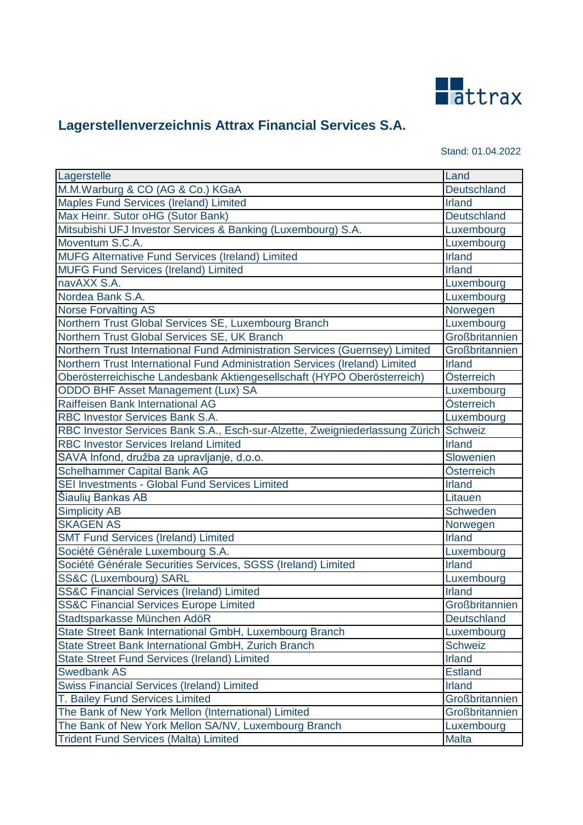

| Stand: 01.04.2022 |  |  |  |
|-------------------|--|--|--|
|-------------------|--|--|--|

| Lagerstelle                                                                          | Land               |
|--------------------------------------------------------------------------------------|--------------------|
| M.M.Warburg & CO (AG & Co.) KGaA                                                     | <b>Deutschland</b> |
| Maples Fund Services (Ireland) Limited                                               | <b>Irland</b>      |
| Max Heinr. Sutor oHG (Sutor Bank)                                                    | <b>Deutschland</b> |
| Mitsubishi UFJ Investor Services & Banking (Luxembourg) S.A.                         | Luxembourg         |
| Moventum S.C.A.                                                                      | Luxembourg         |
| <b>MUFG Alternative Fund Services (Ireland) Limited</b>                              | <b>Irland</b>      |
| <b>MUFG Fund Services (Ireland) Limited</b>                                          | <b>Irland</b>      |
| navAXX S.A.                                                                          | Luxembourg         |
| Nordea Bank S.A.                                                                     | Luxembourg         |
| <b>Norse Forvalting AS</b>                                                           | Norwegen           |
| Northern Trust Global Services SE, Luxembourg Branch                                 | Luxembourg         |
| Northern Trust Global Services SE, UK Branch                                         | Großbritannien     |
| Northern Trust International Fund Administration Services (Guernsey) Limited         | Großbritannien     |
| Northern Trust International Fund Administration Services (Ireland) Limited          | <b>Irland</b>      |
| Oberösterreichische Landesbank Aktiengesellschaft (HYPO Oberösterreich)              | Österreich         |
| ODDO BHF Asset Management (Lux) SA                                                   | Luxembourg         |
| Raiffeisen Bank International AG                                                     | Österreich         |
| RBC Investor Services Bank S.A.                                                      | Luxembourg         |
| RBC Investor Services Bank S.A., Esch-sur-Alzette, Zweigniederlassung Zürich Schweiz |                    |
| <b>RBC Investor Services Ireland Limited</b>                                         | <b>Irland</b>      |
| SAVA Infond, družba za upravljanje, d.o.o.                                           | Slowenien          |
| <b>Schelhammer Capital Bank AG</b>                                                   | Österreich         |
| SEI Investments - Global Fund Services Limited                                       | <b>Irland</b>      |
| Šiaulių Bankas AB                                                                    | Litauen            |
| <b>Simplicity AB</b>                                                                 | Schweden           |
| <b>SKAGEN AS</b>                                                                     | Norwegen           |
| <b>SMT Fund Services (Ireland) Limited</b>                                           | <b>Irland</b>      |
| Société Générale Luxembourg S.A.                                                     | Luxembourg         |
| Société Générale Securities Services, SGSS (Ireland) Limited                         | <b>Irland</b>      |
| <b>SS&amp;C (Luxembourg) SARL</b>                                                    | Luxembourg         |
| <b>SS&amp;C Financial Services (Ireland) Limited</b>                                 | <b>Irland</b>      |
| <b>SS&amp;C Financial Services Europe Limited</b>                                    | Großbritannien     |
| Stadtsparkasse München AdöR                                                          | <b>Deutschland</b> |
| State Street Bank International GmbH, Luxembourg Branch                              | Luxembourg         |
| State Street Bank International GmbH, Zurich Branch                                  | <b>Schweiz</b>     |
| <b>State Street Fund Services (Ireland) Limited</b>                                  | <b>Irland</b>      |
| <b>Swedbank AS</b>                                                                   | <b>Estland</b>     |
| <b>Swiss Financial Services (Ireland) Limited</b>                                    | <b>Irland</b>      |
| T. Bailey Fund Services Limited                                                      | Großbritannien     |
| The Bank of New York Mellon (International) Limited                                  | Großbritannien     |
| The Bank of New York Mellon SA/NV, Luxembourg Branch                                 | Luxembourg         |
| <b>Trident Fund Services (Malta) Limited</b>                                         | <b>Malta</b>       |